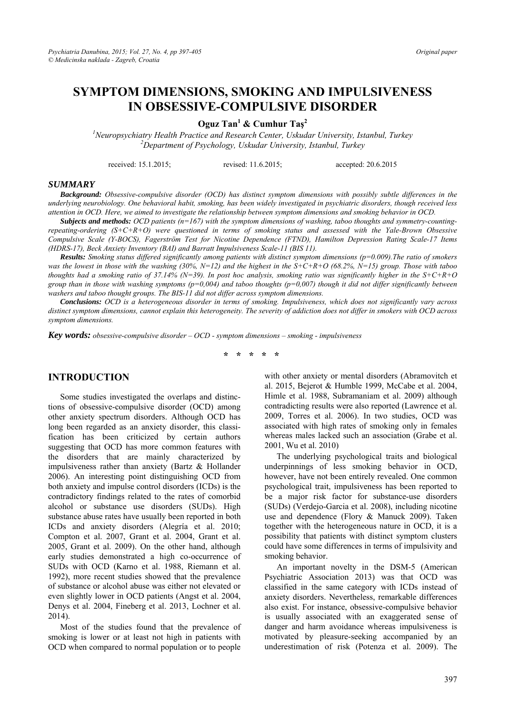# **SYMPTOM DIMENSIONS, SMOKING AND IMPULSIVENESS IN OBSESSIVE-COMPULSIVE DISORDER**

**Oguz Tan<sup>1</sup> & Cumhur Taş 2** 

<sup>*1</sup>* Neuropsychiatry Health Practice and Research Center, Uskudar University, Istanbul, Turkey <sup>2</sup> Denewtwent of Brusholemy Ushudar University, Istanbul, Turkey</sup> *Department of Psychology, Uskudar University, Istanbul, Turkey* 

received: 15.1.2015; revised: 11.6.2015; accepted: 20.6.2015

#### *SUMMARY*

*Background: Obsessive-compulsive disorder (OCD) has distinct symptom dimensions with possibly subtle differences in the underlying neurobiology. One behavioral habit, smoking, has been widely investigated in psychiatric disorders, though received less attention in OCD. Here, we aimed to investigate the relationship between symptom dimensions and smoking behavior in OCD.* 

*Subjects and methods: OCD patients (n=167) with the symptom dimensions of washing, taboo thoughts and symmetry-countingrepeating-ordering (S+C+R+O) were questioned in terms of smoking status and assessed with the Yale-Brown Obsessive Compulsive Scale (Y-BOCS), Fagerström Test for Nicotine Dependence (FTND), Hamilton Depression Rating Scale-17 Items (HDRS-17), Beck Anxiety Inventory (BAI) and Barratt Impulsiveness Scale-11 (BIS 11).* 

*Results: Smoking status differed significantly among patients with distinct symptom dimensions (p=0.009).The ratio of smokers was the lowest in those with the washing (30%, N=12) and the highest in the S+C+R+O (68.2%, N=15) group. Those with taboo thoughts had a smoking ratio of 37.14% (N=39). In post hoc analysis, smoking ratio was significantly higher in the S+C+R+O group than in those with washing symptoms (p=0,004) and taboo thoughts (p=0,007) though it did not differ significantly between washers and taboo thought groups. The BIS-11 did not differ across symptom dimensions.* 

*Conclusions: OCD is a heterogeneous disorder in terms of smoking. Impulsiveness, which does not significantly vary across distinct symptom dimensions, cannot explain this heterogeneity. The severity of addiction does not differ in smokers with OCD across symptom dimensions.* 

*Key words: obsessive-compulsive disorder – OCD - symptom dimensions – smoking - impulsiveness* 

**\* \* \* \* \*** 

## **INTRODUCTION**

Some studies investigated the overlaps and distinctions of obsessive-compulsive disorder (OCD) among other anxiety spectrum disorders. Although OCD has long been regarded as an anxiety disorder, this classification has been criticized by certain authors suggesting that OCD has more common features with the disorders that are mainly characterized by impulsiveness rather than anxiety (Bartz & Hollander 2006). An interesting point distinguishing OCD from both anxiety and impulse control disorders (ICDs) is the contradictory findings related to the rates of comorbid alcohol or substance use disorders (SUDs). High substance abuse rates have usually been reported in both ICDs and anxiety disorders (Alegría et al. 2010; Compton et al. 2007, Grant et al. 2004, Grant et al. 2005, Grant et al. 2009). On the other hand, although early studies demonstrated a high co-occurrence of SUDs with OCD (Karno et al. 1988, Riemann et al. 1992), more recent studies showed that the prevalence of substance or alcohol abuse was either not elevated or even slightly lower in OCD patients (Angst et al. 2004, Denys et al. 2004, Fineberg et al. 2013, Lochner et al. 2014).

Most of the studies found that the prevalence of smoking is lower or at least not high in patients with OCD when compared to normal population or to people with other anxiety or mental disorders (Abramovitch et al. 2015, Bejerot & Humble 1999, McCabe et al. 2004, Himle et al. 1988, Subramaniam et al. 2009) although contradicting results were also reported (Lawrence et al. 2009, Torres et al. 2006). In two studies, OCD was associated with high rates of smoking only in females whereas males lacked such an association (Grabe et al. 2001, Wu et al. 2010)

The underlying psychological traits and biological underpinnings of less smoking behavior in OCD, however, have not been entirely revealed. One common psychological trait, impulsiveness has been reported to be a major risk factor for substance-use disorders (SUDs) (Verdejo-Garcia et al. 2008), including nicotine use and dependence (Flory & Manuck 2009). Taken together with the heterogeneous nature in OCD, it is a possibility that patients with distinct symptom clusters could have some differences in terms of impulsivity and smoking behavior.

An important novelty in the DSM-5 (American Psychiatric Association 2013) was that OCD was classified in the same category with ICDs instead of anxiety disorders. Nevertheless, remarkable differences also exist. For instance, obsessive-compulsive behavior is usually associated with an exaggerated sense of danger and harm avoidance whereas impulsiveness is motivated by pleasure-seeking accompanied by an underestimation of risk (Potenza et al. 2009). The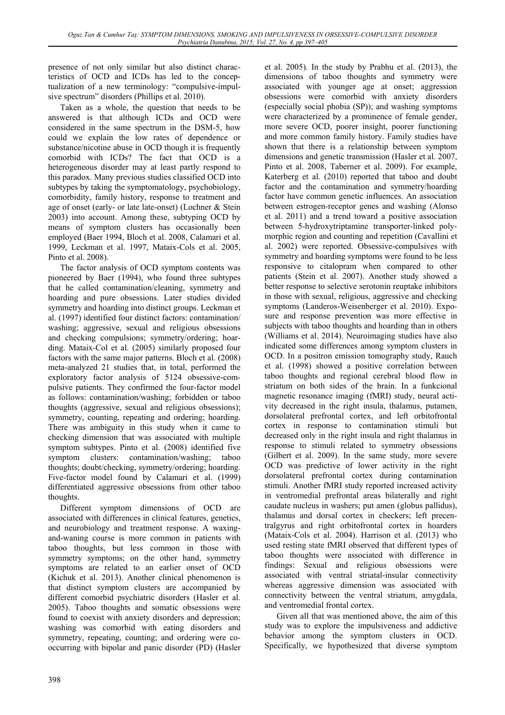presence of not only similar but also distinct characteristics of OCD and ICDs has led to the conceptualization of a new terminology: "compulsive-impulsive spectrum" disorders (Phillips et al. 2010).

Taken as a whole, the question that needs to be answered is that although ICDs and OCD were considered in the same spectrum in the DSM-5, how could we explain the low rates of dependence or substance/nicotine abuse in OCD though it is frequently comorbid with ICDs? The fact that OCD is a heterogeneous disorder may at least partly respond to this paradox. Many previous studies classified OCD into subtypes by taking the symptomatology, psychobiology, comorbidity, family history, response to treatment and age of onset (early- or late late-onset) (Lochner & Stein 2003) into account. Among these, subtyping OCD by means of symptom clusters has occasionally been employed (Baer 1994, Bloch et al. 2008, Calamari et al. 1999, Leckman et al. 1997, Mataix-Cols et al. 2005, Pinto et al. 2008).

The factor analysis of OCD symptom contents was pioneered by Baer (1994), who found three subtypes that he called contamination/cleaning, symmetry and hoarding and pure obsessions. Later studies divided symmetry and hoarding into distinct groups. Leckman et al. (1997) identified four distinct factors: contamination/ washing; aggressive, sexual and religious obsessions and checking compulsions; symmetry/ordering; hoarding. Mataix-Col et al. (2005) similarly proposed four factors with the same major patterns. Bloch et al. (2008) meta-analyzed 21 studies that, in total, performed the exploratory factor analysis of 5124 obsessive-compulsive patients. They confirmed the four-factor model as follows: contamination/washing; forbidden or taboo thoughts (aggressive, sexual and religious obsessions); symmetry, counting, repeating and ordering; hoarding. There was ambiguity in this study when it came to checking dimension that was associated with multiple symptom subtypes. Pinto et al. (2008) identified five symptom clusters: contamination/washing; taboo thoughts; doubt/checking, symmetry/ordering; hoarding. Five-factor model found by Calamari et al. (1999) differentiated aggressive obsessions from other taboo thoughts.

Different symptom dimensions of OCD are associated with differences in clinical features, genetics, and neurobiology and treatment response. A waxingand-waning course is more common in patients with taboo thoughts, but less common in those with symmetry symptoms; on the other hand, symmetry symptoms are related to an earlier onset of OCD (Kichuk et al. 2013). Another clinical phenomenon is that distinct symptom clusters are accompanied by different comorbid psychiatric disorders (Hasler et al. 2005). Taboo thoughts and somatic obsessions were found to coexist with anxiety disorders and depression; washing was comorbid with eating disorders and symmetry, repeating, counting; and ordering were cooccurring with bipolar and panic disorder (PD) (Hasler et al. 2005). In the study by Prabhu et al. (2013), the dimensions of taboo thoughts and symmetry were associated with younger age at onset; aggression obsessions were comorbid with anxiety disorders (especially social phobia (SP)); and washing symptoms were characterized by a prominence of female gender, more severe OCD, poorer insight, poorer functioning and more common family history. Family studies have shown that there is a relationship between symptom dimensions and genetic transmission (Hasler et al. 2007, Pinto et al. 2008, Taberner et al. 2009). For example, Katerberg et al. (2010) reported that taboo and doubt factor and the contamination and symmetry/hoarding factor have common genetic influences. An association between estrogen-receptor genes and washing (Alonso et al. 2011) and a trend toward a positive association between 5-hydroxytriptamine transporter-linked polymorphic region and counting and repetition (Cavallini et al. 2002) were reported. Obsessive-compulsives with symmetry and hoarding symptoms were found to be less responsive to citalopram when compared to other patients (Stein et al. 2007). Another study showed a better response to selective serotonin reuptake inhibitors in those with sexual, religious, aggressive and checking symptoms (Landeros-Weisenberger et al. 2010). Exposure and response prevention was more effective in subjects with taboo thoughts and hoarding than in others (Williams et al. 2014). Neuroimaging studies have also indicated some differences among symptom clusters in OCD. In a positron emission tomography study, Rauch et al. (1998) showed a positive correlation between taboo thoughts and regional cerebral blood flow in striatum on both sides of the brain. In a funkcional magnetic resonance imaging (fMRI) study, neural activity decreased in the right insula, thalamus, putamen, dorsolateral prefrontal cortex, and left orbitofrontal cortex in response to contamination stimuli but decreased only in the right insula and right thalamus in response to stimuli related to symmetry obsessions (Gilbert et al. 2009). In the same study, more severe OCD was predictive of lower activity in the right dorsolateral prefrontal cortex during contamination stimuli. Another fMRI study reported increased activity in ventromedial prefrontal areas bilaterally and right caudate nucleus in washers; put amen (globus pallidus), thalamus and dorsal cortex in checkers; left precentralgyrus and right orbitofrontal cortex in hoarders (Mataix-Cols et al. 2004). Harrison et al. (2013) who used resting state fMRI observed that different types of taboo thoughts were associated with difference in findings: Sexual and religious obsessions were associated with ventral striatal-insular connectivity whereas aggressive dimension was associated with connectivity between the ventral striatum, amygdala, and ventromedial frontal cortex.

Given all that was mentioned above, the aim of this study was to explore the impulsiveness and addictive behavior among the symptom clusters in OCD. Specifically, we hypothesized that diverse symptom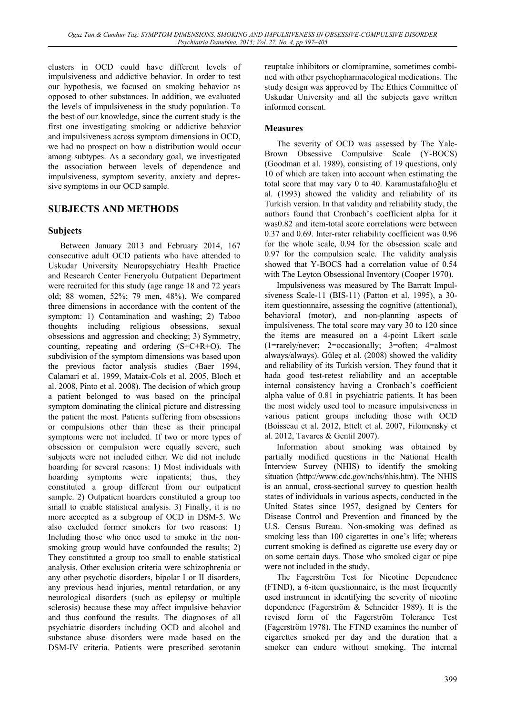clusters in OCD could have different levels of impulsiveness and addictive behavior. In order to test our hypothesis, we focused on smoking behavior as opposed to other substances. In addition, we evaluated the levels of impulsiveness in the study population. To the best of our knowledge, since the current study is the first one investigating smoking or addictive behavior and impulsiveness across symptom dimensions in OCD, we had no prospect on how a distribution would occur among subtypes. As a secondary goal, we investigated the association between levels of dependence and impulsiveness, symptom severity, anxiety and depressive symptoms in our OCD sample.

## **SUBJECTS AND METHODS**

## **Subjects**

Between January 2013 and February 2014, 167 consecutive adult OCD patients who have attended to Uskudar University Neuropsychiatry Health Practice and Research Center Feneryolu Outpatient Department were recruited for this study (age range 18 and 72 years old; 88 women, 52%; 79 men, 48%). We compared three dimensions in accordance with the content of the symptom: 1) Contamination and washing; 2) Taboo thoughts including religious obsessions, sexual obsessions and aggression and checking; 3) Symmetry, counting, repeating and ordering (S+C+R+O). The subdivision of the symptom dimensions was based upon the previous factor analysis studies (Baer 1994, Calamari et al. 1999, Mataix-Cols et al. 2005, Bloch et al. 2008, Pinto et al. 2008). The decision of which group a patient belonged to was based on the principal symptom dominating the clinical picture and distressing the patient the most. Patients suffering from obsessions or compulsions other than these as their principal symptoms were not included. If two or more types of obsession or compulsion were equally severe, such subjects were not included either. We did not include hoarding for several reasons: 1) Most individuals with hoarding symptoms were inpatients; thus, they constituted a group different from our outpatient sample. 2) Outpatient hoarders constituted a group too small to enable statistical analysis. 3) Finally, it is no more accepted as a subgroup of OCD in DSM-5. We also excluded former smokers for two reasons: 1) Including those who once used to smoke in the nonsmoking group would have confounded the results; 2) They constituted a group too small to enable statistical analysis. Other exclusion criteria were schizophrenia or any other psychotic disorders, bipolar I or II disorders, any previous head injuries, mental retardation, or any neurological disorders (such as epilepsy or multiple sclerosis) because these may affect impulsive behavior and thus confound the results. The diagnoses of all psychiatric disorders including OCD and alcohol and substance abuse disorders were made based on the DSM-IV criteria. Patients were prescribed serotonin

reuptake inhibitors or clomipramine, sometimes combined with other psychopharmacological medications. The study design was approved by The Ethics Committee of Uskudar University and all the subjects gave written informed consent.

## **Measures**

The severity of OCD was assessed by The Yale-Brown Obsessive Compulsive Scale (Y-BOCS) (Goodman et al. 1989), consisting of 19 questions, only 10 of which are taken into account when estimating the total score that may vary 0 to 40. Karamustafalıoğlu et al. (1993) showed the validity and reliability of its Turkish version. In that validity and reliability study, the authors found that Cronbach's coefficient alpha for it was0.82 and item-total score correlations were between 0.37 and 0.69. Inter-rater reliability coefficient was 0.96 for the whole scale, 0.94 for the obsession scale and 0.97 for the compulsion scale. The validity analysis showed that Y-BOCS had a correlation value of 0.54 with The Leyton Obsessional Inventory (Cooper 1970).

Impulsiveness was measured by The Barratt Impulsiveness Scale-11 (BIS-11) (Patton et al. 1995), a 30 item questionnaire, assessing the cognitive (attentional), behavioral (motor), and non-planning aspects of impulsiveness. The total score may vary 30 to 120 since the items are measured on a 4-point Likert scale (1=rarely/never; 2=occasionally; 3=often; 4=almost always/always). Güleç et al. (2008) showed the validity and reliability of its Turkish version. They found that it hada good test-retest reliability and an acceptable internal consistency having a Cronbach's coefficient alpha value of 0.81 in psychiatric patients. It has been the most widely used tool to measure impulsiveness in various patient groups including those with OCD (Boisseau et al. 2012, Ettelt et al. 2007, Filomensky et al. 2012, Tavares & Gentil 2007).

Information about smoking was obtained by partially modified questions in the National Health Interview Survey (NHIS) to identify the smoking situation (http://www.cdc.gov/nchs/nhis.htm). The NHIS is an annual, cross-sectional survey to question health states of individuals in various aspects, conducted in the United States since 1957, designed by Centers for Disease Control and Prevention and financed by the U.S. Census Bureau. Non-smoking was defined as smoking less than 100 cigarettes in one's life; whereas current smoking is defined as cigarette use every day or on some certain days. Those who smoked cigar or pipe were not included in the study.

The Fagerström Test for Nicotine Dependence (FTND), a 6-item questionnaire, is the most frequently used instrument in identifying the severity of nicotine dependence (Fagerström & Schneider 1989). It is the revised form of the Fagerström Tolerance Test (Fagerström 1978). The FTND examines the number of cigarettes smoked per day and the duration that a smoker can endure without smoking. The internal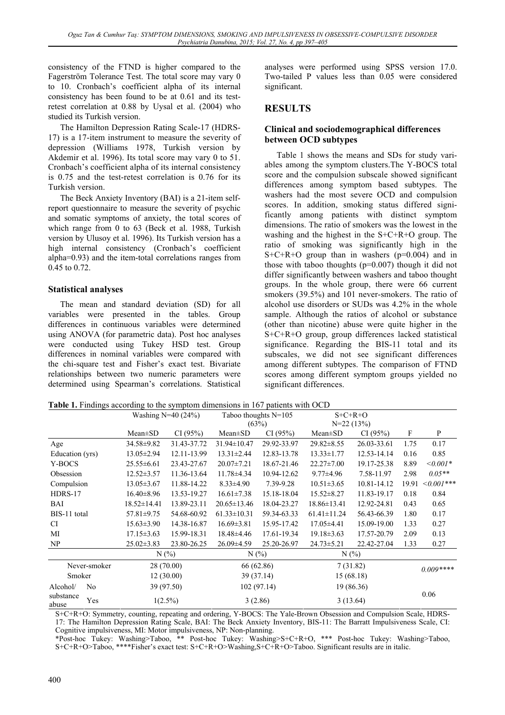consistency of the FTND is higher compared to the Fagerström Tolerance Test. The total score may vary 0 to 10. Cronbach's coefficient alpha of its internal consistency has been found to be at 0.61 and its testretest correlation at 0.88 by Uysal et al. (2004) who studied its Turkish version.

The Hamilton Depression Rating Scale-17 (HDRS-17) is a 17-item instrument to measure the severity of depression (Williams 1978, Turkish version by Akdemir et al. 1996). Its total score may vary 0 to 51. Cronbach's coefficient alpha of its internal consistency is 0.75 and the test-retest correlation is 0.76 for its Turkish version.

The Beck Anxiety Inventory (BAI) is a 21-item selfreport questionnaire to measure the severity of psychic and somatic symptoms of anxiety, the total scores of which range from 0 to 63 (Beck et al. 1988, Turkish version by Ulusoy et al. 1996). Its Turkish version has a high internal consistency (Cronbach's coefficient alpha=0.93) and the item-total correlations ranges from 0.45 to 0.72.

## **Statistical analyses**

The mean and standard deviation (SD) for all variables were presented in the tables. Group differences in continuous variables were determined using ANOVA (for parametric data). Post hoc analyses were conducted using Tukey HSD test. Group differences in nominal variables were compared with the chi-square test and Fisher's exact test. Bivariate relationships between two numeric parameters were determined using Spearman's correlations. Statistical

analyses were performed using SPSS version 17.0. Two-tailed P values less than 0.05 were considered significant.

## **RESULTS**

### **Clinical and sociodemographical differences between OCD subtypes**

Table 1 shows the means and SDs for study variables among the symptom clusters.The Y-BOCS total score and the compulsion subscale showed significant differences among symptom based subtypes. The washers had the most severe OCD and compulsion scores. In addition, smoking status differed significantly among patients with distinct symptom dimensions. The ratio of smokers was the lowest in the washing and the highest in the S+C+R+O group. The ratio of smoking was significantly high in the  $S+C+R+O$  group than in washers ( $p=0.004$ ) and in those with taboo thoughts (p=0.007) though it did not differ significantly between washers and taboo thought groups. In the whole group, there were 66 current smokers (39.5%) and 101 never-smokers. The ratio of alcohol use disorders or SUDs was 4.2% in the whole sample. Although the ratios of alcohol or substance (other than nicotine) abuse were quite higher in the S+C+R+O group, group differences lacked statistical significance. Regarding the BIS-11 total and its subscales, we did not see significant differences among different subtypes. The comparison of FTND scores among different symptom groups yielded no significant differences.

**Table 1.** Findings according to the symptom dimensions in 167 patients with OCD

|                    |                | Washing $N=40(24%)$ |             | Taboo thoughts $N=105$<br>(63%) |             | $S+C+R+O$<br>$N=22(13%)$ |             |            |             |
|--------------------|----------------|---------------------|-------------|---------------------------------|-------------|--------------------------|-------------|------------|-------------|
|                    |                | $Mean \pm SD$       | CI(95%)     | $Mean \pm SD$                   | CI(95%)     | $Mean \pm SD$            | CI(95%)     | F          | P           |
| Age                |                | 34.58±9.82          | 31.43-37.72 | 31.94±10.47                     | 29.92-33.97 | $29.82 \pm 8.55$         | 26.03-33.61 | 1.75       | 0.17        |
| Education (yrs)    |                | $13.05 \pm 2.94$    | 12.11-13.99 | $13.31 \pm 2.44$                | 12.83-13.78 | $13.33 \pm 1.77$         | 12.53-14.14 | 0.16       | 0.85        |
| Y-BOCS             |                | $25.55 \pm 6.61$    | 23.43-27.67 | $20.07 \pm 7.21$                | 18.67-21.46 | $22.27 \pm 7.00$         | 19.17-25.38 | 8.89       | $<0.001*$   |
| Obsession          |                | $12.52 \pm 3.57$    | 11.36-13.64 | $11.78 \pm 4.34$                | 10.94-12.62 | $9.77 \pm 4.96$          | 7.58-11.97  | 2.98       | $0.05**$    |
| Compulsion         |                | $13.05 \pm 3.67$    | 11.88-14.22 | $8.33 \pm 4.90$                 | 7.39-9.28   | $10.51 \pm 3.65$         | 10.81-14.12 | 19.91      | $<0.001***$ |
| HDRS-17            |                | $16.40 \pm 8.96$    | 13.53-19.27 | $16.61 \pm 7.38$                | 15.18-18.04 | $15.52 \pm 8.27$         | 11.83-19.17 | 0.18       | 0.84        |
| BAI                |                | $18.52 \pm 14.41$   | 13.89-23.11 | $20.65 \pm 13.46$               | 18.04-23.27 | $18.86 \pm 13.41$        | 12.92-24.81 | 0.43       | 0.65        |
| BIS-11 total       |                | $57.81 \pm 9.75$    | 54.68-60.92 | $61.33 \pm 10.31$               | 59.34-63.33 | $61.41 \pm 11.24$        | 56.43-66.39 | 1.80       | 0.17        |
| CI.                |                | $15.63 \pm 3.90$    | 14.38-16.87 | $16.69 \pm 3.81$                | 15.95-17.42 | $17.05\pm4.41$           | 15.09-19.00 | 1.33       | 0.27        |
| МI                 |                | $17.15 \pm 3.63$    | 15.99-18.31 | 18.48±4.46                      | 17.61-19.34 | $19.18 \pm 3.63$         | 17.57-20.79 | 2.09       | 0.13        |
| NP                 |                | $25.02 \pm 3.83$    | 23.80-26.25 | $26.09 \pm 4.59$                | 25.20-26.97 | $24.73 \pm 5.21$         | 22.42-27.04 | 1.33       | 0.27        |
|                    |                | N(%                 |             | $N(\%)$                         |             | N(%)                     |             |            |             |
| Never-smoker       |                | 28 (70.00)          |             | 66 (62.86)                      |             | 7(31.82)                 |             | $0.009***$ |             |
| Smoker             |                | 12(30.00)           |             | 39 (37.14)                      |             | 15(68.18)                |             |            |             |
| Alcohol/           | N <sub>0</sub> | 39 (97.50)          |             | 102(97.14)                      |             | 19 (86.36)               |             |            |             |
| substance<br>abuse | Yes            | $1(2.5\%)$          |             | 3(2.86)                         |             | 3(13.64)                 |             |            | 0.06        |

S+C+R+O: Symmetry, counting, repeating and ordering, Y-BOCS: The Yale-Brown Obsession and Compulsion Scale, HDRS-17: The Hamilton Depression Rating Scale, BAI: The Beck Anxiety Inventory, BIS-11: The Barratt Impulsiveness Scale, CI: Cognitive impulsiveness, MI: Motor impulsiveness, NP: Non-planning.

\*Post-hoc Tukey: Washing>Taboo, \*\* Post-hoc Tukey: Washing>S+C+R+O, \*\*\* Post-hoc Tukey: Washing>Taboo, S+C+R+O>Taboo, \*\*\*\*Fisher's exact test: S+C+R+O>Washing,S+C+R+O>Taboo. Significant results are in italic.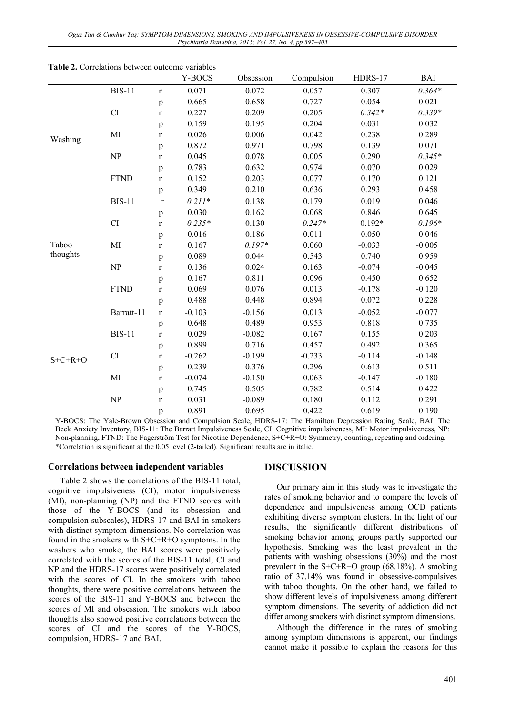*Oguz Tan & Cumhur Taş: SYMPTOM DIMENSIONS, SMOKING AND IMPULSIVENESS IN OBSESSIVE-COMPULSIVE DISORDER Psychiatria Danubina, 2015; Vol. 27, No. 4, pp 397–405* 

|           |               |              | Y-BOCS   | Obsession | Compulsion | HDRS-17  | <b>BAI</b> |
|-----------|---------------|--------------|----------|-----------|------------|----------|------------|
|           | <b>BIS-11</b> | $\mathbf r$  | 0.071    | 0.072     | 0.057      | 0.307    | $0.364*$   |
| Washing   |               | $\, {\bf p}$ | 0.665    | 0.658     | 0.727      | 0.054    | 0.021      |
|           | CI            | $\mathbf r$  | 0.227    | 0.209     | 0.205      | $0.342*$ | $0.339*$   |
|           |               | p            | 0.159    | 0.195     | 0.204      | 0.031    | 0.032      |
|           | MI            | $\mathbf r$  | 0.026    | 0.006     | 0.042      | 0.238    | 0.289      |
|           |               | $\, {\bf p}$ | 0.872    | 0.971     | 0.798      | 0.139    | 0.071      |
|           | NP            | $\mathbf r$  | 0.045    | 0.078     | 0.005      | 0.290    | $0.345*$   |
|           |               | p            | 0.783    | 0.632     | 0.974      | 0.070    | 0.029      |
|           | <b>FTND</b>   | $\mathbf r$  | 0.152    | 0.203     | 0.077      | 0.170    | 0.121      |
|           |               | $\, {\bf p}$ | 0.349    | 0.210     | 0.636      | 0.293    | 0.458      |
|           | <b>BIS-11</b> | $\mathbf r$  | $0.211*$ | 0.138     | 0.179      | 0.019    | 0.046      |
|           |               | $\, {\bf p}$ | 0.030    | 0.162     | 0.068      | 0.846    | 0.645      |
|           | CI            | $\mathbf r$  | $0.235*$ | 0.130     | $0.247*$   | $0.192*$ | $0.196*$   |
|           |               | $\, {\bf p}$ | 0.016    | 0.186     | 0.011      | 0.050    | 0.046      |
| Taboo     | MI            | $\mathbf r$  | 0.167    | $0.197*$  | 0.060      | $-0.033$ | $-0.005$   |
| thoughts  |               | $\, {\bf p}$ | 0.089    | 0.044     | 0.543      | 0.740    | 0.959      |
|           | NP            | $\mathbf r$  | 0.136    | 0.024     | 0.163      | $-0.074$ | $-0.045$   |
|           |               | $\, {\bf p}$ | 0.167    | 0.811     | 0.096      | 0.450    | 0.652      |
|           | <b>FTND</b>   | $\mathbf r$  | 0.069    | 0.076     | 0.013      | $-0.178$ | $-0.120$   |
|           |               | $\, {\bf p}$ | 0.488    | 0.448     | 0.894      | 0.072    | 0.228      |
|           | Barratt-11    | $\mathbf r$  | $-0.103$ | $-0.156$  | 0.013      | $-0.052$ | $-0.077$   |
|           |               | $\, {\bf p}$ | 0.648    | 0.489     | 0.953      | 0.818    | 0.735      |
|           | <b>BIS-11</b> | $\mathbf r$  | 0.029    | $-0.082$  | 0.167      | 0.155    | 0.203      |
|           |               | $\, {\bf p}$ | 0.899    | 0.716     | 0.457      | 0.492    | 0.365      |
| $S+C+R+O$ | CI            | $\mathbf r$  | $-0.262$ | $-0.199$  | $-0.233$   | $-0.114$ | $-0.148$   |
|           |               | p            | 0.239    | 0.376     | 0.296      | 0.613    | 0.511      |
|           | MI            | $\mathbf r$  | $-0.074$ | $-0.150$  | 0.063      | $-0.147$ | $-0.180$   |
|           |               | $\, {\bf p}$ | 0.745    | 0.505     | 0.782      | 0.514    | 0.422      |
|           | NP            | $\mathbf r$  | 0.031    | $-0.089$  | 0.180      | 0.112    | 0.291      |
|           |               | p            | 0.891    | 0.695     | 0.422      | 0.619    | 0.190      |

**Table 2.** Correlations between outcome variables

Y-BOCS: The Yale-Brown Obsession and Compulsion Scale, HDRS-17: The Hamilton Depression Rating Scale, BAI: The Beck Anxiety Inventory, BIS-11: The Barratt Impulsiveness Scale, CI: Cognitive impulsiveness, MI: Motor impulsiveness, NP: Non-planning, FTND: The Fagerström Test for Nicotine Dependence, S+C+R+O: Symmetry, counting, repeating and ordering. \*Correlation is significant at the 0.05 level (2-tailed). Significant results are in italic.

#### **Correlations between independent variables**

Table 2 shows the correlations of the BIS-11 total, cognitive impulsiveness (CI), motor impulsiveness (MI), non-planning (NP) and the FTND scores with those of the Y-BOCS (and its obsession and compulsion subscales), HDRS-17 and BAI in smokers with distinct symptom dimensions. No correlation was found in the smokers with S+C+R+O symptoms. In the washers who smoke, the BAI scores were positively correlated with the scores of the BIS-11 total, CI and NP and the HDRS-17 scores were positively correlated with the scores of CI. In the smokers with taboo thoughts, there were positive correlations between the scores of the BIS-11 and Y-BOCS and between the scores of MI and obsession. The smokers with taboo thoughts also showed positive correlations between the scores of CI and the scores of the Y-BOCS, compulsion, HDRS-17 and BAI.

#### **DISCUSSION**

Our primary aim in this study was to investigate the rates of smoking behavior and to compare the levels of dependence and impulsiveness among OCD patients exhibiting diverse symptom clusters. In the light of our results, the significantly different distributions of smoking behavior among groups partly supported our hypothesis. Smoking was the least prevalent in the patients with washing obsessions (30%) and the most prevalent in the  $S+C+R+O$  group (68.18%). A smoking ratio of 37.14% was found in obsessive-compulsives with taboo thoughts. On the other hand, we failed to show different levels of impulsiveness among different symptom dimensions. The severity of addiction did not differ among smokers with distinct symptom dimensions.

Although the difference in the rates of smoking among symptom dimensions is apparent, our findings cannot make it possible to explain the reasons for this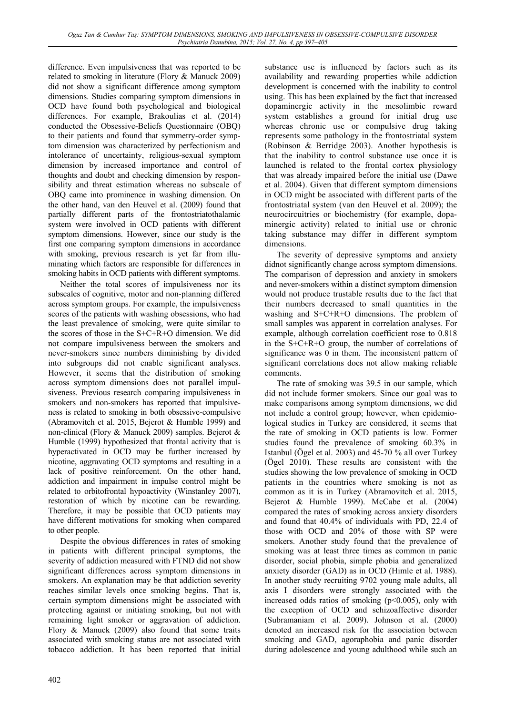difference. Even impulsiveness that was reported to be related to smoking in literature (Flory & Manuck 2009) did not show a significant difference among symptom dimensions. Studies comparing symptom dimensions in OCD have found both psychological and biological differences. For example, Brakoulias et al. (2014) conducted the Obsessive-Beliefs Questionnaire (OBQ) to their patients and found that symmetry-order symptom dimension was characterized by perfectionism and intolerance of uncertainty, religious-sexual symptom dimension by increased importance and control of thoughts and doubt and checking dimension by responsibility and threat estimation whereas no subscale of OBQ came into prominence in washing dimension. On the other hand, van den Heuvel et al. (2009) found that partially different parts of the frontostriatothalamic system were involved in OCD patients with different symptom dimensions. However, since our study is the first one comparing symptom dimensions in accordance with smoking, previous research is yet far from illuminating which factors are responsible for differences in smoking habits in OCD patients with different symptoms.

Neither the total scores of impulsiveness nor its subscales of cognitive, motor and non-planning differed across symptom groups. For example, the impulsiveness scores of the patients with washing obsessions, who had the least prevalence of smoking, were quite similar to the scores of those in the S+C+R+O dimension. We did not compare impulsiveness between the smokers and never-smokers since numbers diminishing by divided into subgroups did not enable significant analyses. However, it seems that the distribution of smoking across symptom dimensions does not parallel impulsiveness. Previous research comparing impulsiveness in smokers and non-smokers has reported that impulsiveness is related to smoking in both obsessive-compulsive (Abramovitch et al. 2015, Bejerot & Humble 1999) and non-clinical (Flory & Manuck 2009) samples. Bejerot & Humble (1999) hypothesized that frontal activity that is hyperactivated in OCD may be further increased by nicotine, aggravating OCD symptoms and resulting in a lack of positive reinforcement. On the other hand, addiction and impairment in impulse control might be related to orbitofrontal hypoactivity (Winstanley 2007), restoration of which by nicotine can be rewarding. Therefore, it may be possible that OCD patients may have different motivations for smoking when compared to other people.

Despite the obvious differences in rates of smoking in patients with different principal symptoms, the severity of addiction measured with FTND did not show significant differences across symptom dimensions in smokers. An explanation may be that addiction severity reaches similar levels once smoking begins. That is, certain symptom dimensions might be associated with protecting against or initiating smoking, but not with remaining light smoker or aggravation of addiction. Flory & Manuck (2009) also found that some traits associated with smoking status are not associated with tobacco addiction. It has been reported that initial

substance use is influenced by factors such as its availability and rewarding properties while addiction development is concerned with the inability to control using. This has been explained by the fact that increased dopaminergic activity in the mesolimbic reward system establishes a ground for initial drug use whereas chronic use or compulsive drug taking represents some pathology in the frontostriatal system (Robinson & Berridge 2003). Another hypothesis is that the inability to control substance use once it is launched is related to the frontal cortex physiology that was already impaired before the initial use (Dawe et al. 2004). Given that different symptom dimensions in OCD might be associated with different parts of the frontostriatal system (van den Heuvel et al. 2009); the neurocircuitries or biochemistry (for example, dopaminergic activity) related to initial use or chronic taking substance may differ in different symptom dimensions.

The severity of depressive symptoms and anxiety didnot significantly change across symptom dimensions. The comparison of depression and anxiety in smokers and never-smokers within a distinct symptom dimension would not produce trustable results due to the fact that their numbers decreased to small quantities in the washing and S+C+R+O dimensions. The problem of small samples was apparent in correlation analyses. For example, although correlation coefficient rose to 0.818 in the S+C+R+O group, the number of correlations of significance was 0 in them. The inconsistent pattern of significant correlations does not allow making reliable comments.

The rate of smoking was 39.5 in our sample, which did not include former smokers. Since our goal was to make comparisons among symptom dimensions, we did not include a control group; however, when epidemiological studies in Turkey are considered, it seems that the rate of smoking in OCD patients is low. Former studies found the prevalence of smoking 60.3% in Istanbul (Ögel et al. 2003) and 45-70 % all over Turkey (Ögel 2010). These results are consistent with the studies showing the low prevalence of smoking in OCD patients in the countries where smoking is not as common as it is in Turkey (Abramovitch et al. 2015, Bejerot & Humble 1999). McCabe et al. (2004) compared the rates of smoking across anxiety disorders and found that 40.4% of individuals with PD, 22.4 of those with OCD and 20% of those with SP were smokers. Another study found that the prevalence of smoking was at least three times as common in panic disorder, social phobia, simple phobia and generalized anxiety disorder (GAD) as in OCD (Himle et al. 1988). In another study recruiting 9702 young male adults, all axis I disorders were strongly associated with the increased odds ratios of smoking  $(p<0.005)$ , only with the exception of OCD and schizoaffective disorder (Subramaniam et al. 2009). Johnson et al. (2000) denoted an increased risk for the association between smoking and GAD, agoraphobia and panic disorder during adolescence and young adulthood while such an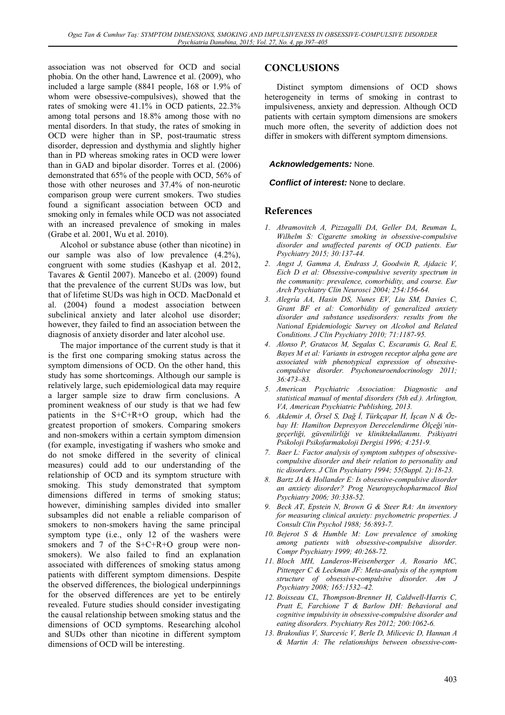association was not observed for OCD and social phobia. On the other hand, Lawrence et al. (2009), who included a large sample (8841 people, 168 or 1.9% of whom were obsessive-compulsives), showed that the rates of smoking were 41.1% in OCD patients, 22.3% among total persons and 18.8% among those with no mental disorders. In that study, the rates of smoking in OCD were higher than in SP, post-traumatic stress disorder, depression and dysthymia and slightly higher than in PD whereas smoking rates in OCD were lower than in GAD and bipolar disorder. Torres et al. (2006) demonstrated that 65% of the people with OCD, 56% of those with other neuroses and 37.4% of non-neurotic comparison group were current smokers. Two studies found a significant association between OCD and smoking only in females while OCD was not associated with an increased prevalence of smoking in males (Grabe et al. 2001, Wu et al. 2010).

Alcohol or substance abuse (other than nicotine) in our sample was also of low prevalence (4.2%), congruent with some studies (Kashyap et al. 2012, Tavares & Gentil 2007). Mancebo et al. (2009) found that the prevalence of the current SUDs was low, but that of lifetime SUDs was high in OCD. MacDonald et al. (2004) found a modest association between subclinical anxiety and later alcohol use disorder; however, they failed to find an association between the diagnosis of anxiety disorder and later alcohol use.

The major importance of the current study is that it is the first one comparing smoking status across the symptom dimensions of OCD. On the other hand, this study has some shortcomings. Although our sample is relatively large, such epidemiological data may require a larger sample size to draw firm conclusions. A prominent weakness of our study is that we had few patients in the S+C+R+O group, which had the greatest proportion of smokers. Comparing smokers and non-smokers within a certain symptom dimension (for example, investigating if washers who smoke and do not smoke differed in the severity of clinical measures) could add to our understanding of the relationship of OCD and its symptom structure with smoking. This study demonstrated that symptom dimensions differed in terms of smoking status; however, diminishing samples divided into smaller subsamples did not enable a reliable comparison of smokers to non-smokers having the same principal symptom type (i.e., only 12 of the washers were smokers and 7 of the S+C+R+O group were nonsmokers). We also failed to find an explanation associated with differences of smoking status among patients with different symptom dimensions. Despite the observed differences, the biological underpinnings for the observed differences are yet to be entirely revealed. Future studies should consider investigating the causal relationship between smoking status and the dimensions of OCD symptoms. Researching alcohol and SUDs other than nicotine in different symptom dimensions of OCD will be interesting.

## **CONCLUSIONS**

Distinct symptom dimensions of OCD shows heterogeneity in terms of smoking in contrast to impulsiveness, anxiety and depression. Although OCD patients with certain symptom dimensions are smokers much more often, the severity of addiction does not differ in smokers with different symptom dimensions.

### *Acknowledgements:* None.

#### *Conflict of interest:* None to declare.

### **References**

- *1. Abramovitch A, Pizzagalli DA, Geller DA, Reuman L, Wilhelm S: Cigarette smoking in obsessive-compulsive disorder and unaffected parents of OCD patients. Eur Psychiatry 2015; 30:137-44.*
- *2. Angst J, Gamma A, Endrass J, Goodwin R, Ajdacic V, Eich D et al: Obsessive-compulsive severity spectrum in the community: prevalence, comorbidity, and course. Eur Arch Psychiatry Clin Neurosci 2004; 254:156-64.*
- *3. Alegría AA, Hasin DS, Nunes EV, Liu SM, Davies C, Grant BF et al: Comorbidity of generalized anxiety disorder and substance usedisorders: results from the National Epidemiologic Survey on Alcohol and Related Conditions. J Clin Psychiatry 2010; 71:1187-95.*
- *4. Alonso P, Gratacos M, Segalas C, Escaramis G, Real E, Bayes M et al: Variants in estrogen receptor alpha gene are associated with phenotypical expression of obsessivecompulsive disorder. Psychoneuroendocrinology 2011; 36:473–83.*
- *5. American Psychiatric Association: Diagnostic and statistical manual of mental disorders (5th ed.). Arlington, VA, American Psychiatric Publishing, 2013.*
- *6. Akdemir A, Örsel S, Dağ İ, Türkçapar H, İşcan N & Özbay H: Hamilton Depresyon Derecelendirme Ölçeği'ningeçerliği, güvenilirliği ve kliniktekullanımı. Psikiyatri Psikoloji Psikofarmakoloji Dergisi 1996; 4:251-9.*
- *7. Baer L: Factor analysis of symptom subtypes of obsessivecompulsive disorder and their relation to personality and tic disorders. J Clin Psychiatry 1994; 55(Suppl. 2):18-23.*
- *8. Bartz JA & Hollander E: Is obsessive-compulsive disorder an anxiety disorder? Prog Neuropsychopharmacol Biol Psychiatry 2006; 30:338-52.*
- *9. Beck AT, Epstein N, Brown G & Steer RA: An inventory for measuring clinical anxiety: psychometric properties. J Consult Clin Psychol 1988; 56:893-7.*
- *10. Bejerot S & Humble M: Low prevalence of smoking among patients with obsessive-compulsive disorder. Compr Psychiatry 1999; 40:268-72.*
- *11. Bloch MH, Landeros-Weisenberger A, Rosario MC, Pittenger C & Leckman JF: Meta-analysis of the symptom structure of obsessive-compulsive disorder. Am J Psychiatry 2008; 165:1532–42.*
- *12. Boisseau CL, Thompson-Brenner H, Caldwell-Harris C, Pratt E, Farchione T & Barlow DH: Behavioral and cognitive impulsivity in obsessive-compulsive disorder and eating disorders. Psychiatry Res 2012; 200:1062-6.*
- *13. Brakoulias V, Starcevic V, Berle D, Milicevic D, Hannan A & Martin A: The relationships between obsessive-com-*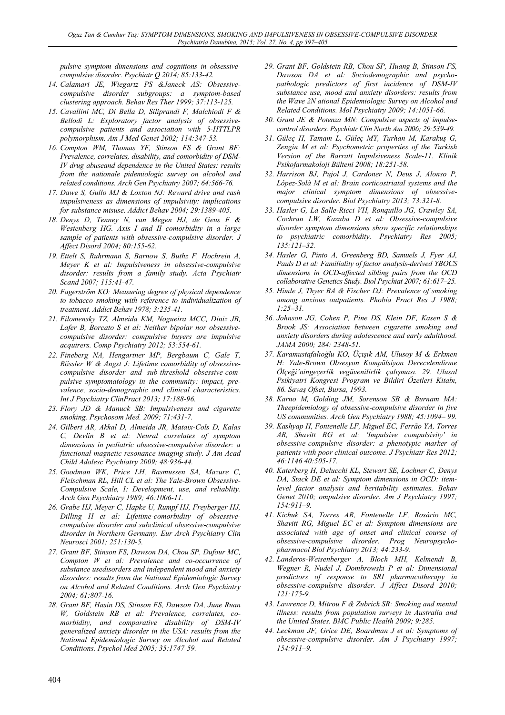*pulsive symptom dimensions and cognitions in obsessivecompulsive disorder. Psychiatr Q 2014; 85:133-42.* 

- *14. Calamari JE, Wiegartz PS &Janeck AS: Obsessivecompulsive disorder subgroups: a symptom-based clustering approach. Behav Res Ther 1999; 37:113-125.*
- *15. Cavallini MC, Di Bella D, Siliprandi F, Malchiodi F & Bellodi L: Exploratory factor analysis of obsessivecompulsive patients and association with 5-HTTLPR polymorphism. Am J Med Genet 2002; 114:347-53.*
- *16. Compton WM, Thomas YF, Stinson FS & Grant BF: Prevalence, correlates, disability, and comorbidity of DSM-IV drug abuseand dependence in the United States: results from the nationale pidemiologic survey on alcohol and related conditions. Arch Gen Psychiatry 2007; 64:566-76.*
- *17. Dawe S, Gullo MJ & Loxton NJ: Reward drive and rash impulsiveness as dimensions of impulsivity: implications for substance misuse. Addict Behav 2004; 29:1389-405.*
- *18. Denys D, Tenney N, van Megen HJ, de Geus F & Westenberg HG. Axis I and II comorbidity in a large sample of patients with obsessive-compulsive disorder. J Affect Disord 2004; 80:155-62.*
- *19. Ettelt S, Ruhrmann S, Barnow S, Buthz F, Hochrein A, Meyer K et al: Impulsiveness in obsessive-compulsive disorder: results from a family study. Acta Psychiatr Scand 2007; 115:41-47.*
- *20. Fagerström KO: Measuring degree of physical dependence to tobacco smoking with reference to individualization of treatment. Addict Behav 1978; 3:235-41.*
- *21. Filomensky TZ, Almeida KM, Nogueira MCC, Diniz JB, Lafer B, Borcato S et al: Neither bipolar nor obsessivecompulsive disorder: compulsive buyers are impulsive acquirers. Comp Psychiatry 2012; 53:554-61.*
- *22. Fineberg NA, Hengartner MP, Bergbaum C, Gale T, Rössler W & Angst J: Lifetime comorbidity of obsessivecompulsive disorder and sub-threshold obsessive-compulsive symptomatology in the community: impact, prevalence, socio-demographic and clinical characteristics. Int J Psychiatry ClinPract 2013; 17:188-96.*
- *23. Flory JD & Manuck SB: Impulsiveness and cigarette smoking. Psychosom Med. 2009; 71:431-7.*
- *24. Gilbert AR, Akkal D, Almeida JR, Mataix-Cols D, Kalas C, Devlin B et al: Neural correlates of symptom dimensions in pediatric obsessive-compulsive disorder: a functional magnetic resonance imaging study. J Am Acad Child Adolesc Psychiatry 2009; 48:936-44.*
- *25. Goodman WK, Price LH, Rasmussen SA, Mazure C, Fleischman RL, Hill CL et al: The Yale-Brown Obsessive-Compulsive Scale, I: Development, use, and reliablity. Arch Gen Psychiatry 1989; 46:1006-11.*
- *26. Grabe HJ, Meyer C, Hapke U, Rumpf HJ, Freyberger HJ, Dilling H et al: Lifetime-comorbidity of obsessivecompulsive disorder and subclinical obsessive-compulsive disorder in Northern Germany. Eur Arch Psychiatry Clin Neurosci 2001; 251:130-5.*
- *27. Grant BF, Stinson FS, Dawson DA, Chou SP, Dufour MC, Compton W et al: Prevalence and co-occurrence of substance usedisorders and independent mood and anxiety disorders: results from the National Epidemiologic Survey on Alcohol and Related Conditions. Arch Gen Psychiatry 2004; 61:807-16.*
- *28. Grant BF, Hasin DS, Stinson FS, Dawson DA, June Ruan W, Goldstein RB et al: Prevalence, correlates, comorbidity, and comparative disability of DSM-IV generalized anxiety disorder in the USA: results from the National Epidemiologic Survey on Alcohol and Related Conditions. Psychol Med 2005; 35:1747-59.*
- *29. Grant BF, Goldstein RB, Chou SP, Huang B, Stinson FS, Dawson DA et al: Sociodemographic and psychopathologic predictors of first incidence of DSM-IV substance use, mood and anxiety disorders: results from the Wave 2N ational Epidemiologic Survey on Alcohol and Related Conditions. Mol Psychiatry 2009; 14:1051-66.*
- *30. Grant JE & Potenza MN: Compulsive aspects of impulsecontrol disorders. Psychiatr Clin North Am 2006; 29:539-49.*
- *31. Güleç H, Tamam L, Güleç MY, Turhan M, Karakuş G, Zengin M et al: Psychometric properties of the Turkish Version of the Barratt Impulsiveness Scale-11. Klinik Psikofarmakoloji Bülteni 2008; 18:251-58.*
- *32. Harrison BJ, Pujol J, Cardoner N, Deus J, Alonso P, López-Solà M et al: Brain corticostriatal systems and the major clinical symptom dimensions of obsessivecompulsive disorder. Biol Psychiatry 2013; 73:321-8.*
- *33. Hasler G, La Salle-Ricci VH, Ronquillo JG, Crawley SA, Cochran LW, Kazuba D et al: Obsessive-compulsive disorder symptom dimensions show specific relationships to psychiatric comorbidity. Psychiatry Res 2005; 135:121–32.*
- *34. Hasler G, Pinto A, Greenberg BD, Samuels J, Fyer AJ, Pauls D et al: Familiality of factor analysis-derived YBOCS dimensions in OCD-affected sibling pairs from the OCD collaborative Genetics Study. Biol Psychiat 2007; 61:617–25.*
- *35. Himle J, Thyer BA & Fischer DJ: Prevalence of smoking among anxious outpatients. Phobia Pract Res J 1988; 1:25–31.*
- *36. Johnson JG, Cohen P, Pine DS, Klein DF, Kasen S & Brook JS: Association between cigarette smoking and anxiety disorders during adolescence and early adulthood. JAMA 2000; 284: 2348-51.*
- *37. Karamustafalıoğlu KO, Üçışık AM, Ulusoy M & Erkmen H: Yale-Brown Obsesyon Kompülsiyon Derecelendirme Ölçeği'ningeçerlik vegüvenilirlik çalışması. 29. Ulusal Psikiyatri Kongresi Program ve Bildiri Özetleri Kitabı, 86. Savaş Ofset, Bursa, 1993.*
- *38. Karno M, Golding JM, Sorenson SB & Burnam MA: Theepidemiology of obsessive-compulsive disorder in five US communities. Arch Gen Psychiatry 1988; 45:1094– 99.*
- *39. Kashyap H, Fontenelle LF, Miguel EC, Ferrão YA, Torres AR, Shavitt RG et al: 'Impulsive compulsivity' in obsessive-compulsive disorder: a phenotypic marker of patients with poor clinical outcome. J Psychiatr Res 2012; 46:1146 40:505-17.*
- *40. Katerberg H, Delucchi KL, Stewart SE, Lochner C, Denys DA, Stack DE et al: Symptom dimensions in OCD: itemlevel factor analysis and heritability estimates. Behav Genet 2010; ompulsive disorder. Am J Psychiatry 1997; 154:911–9.*
- *41. Kichuk SA, Torres AR, Fontenelle LF, Rosário MC, Shavitt RG, Miguel EC et al: Symptom dimensions are associated with age of onset and clinical course of obsessive-compulsive disorder. Prog Neuropsychopharmacol Biol Psychiatry 2013; 44:233-9.*
- *42. Landeros-Weisenberger A, Bloch MH, Kelmendi B, Wegner R, Nudel J, Dombrowski P et al: Dimensional predictors of response to SRI pharmacotherapy in obsessive-compulsive disorder. J Affect Disord 2010; 121:175-9.*
- *43. Lawrence D, Mitrou F & Zubrick SR: Smoking and mental illness: results from population surveys in Australia and the United States. BMC Public Health 2009; 9:285.*
- *44. Leckman JF, Grice DE, Boardman J et al: Symptoms of obsessive-compulsive disorder. Am J Psychiatry 1997; 154:911–9.*